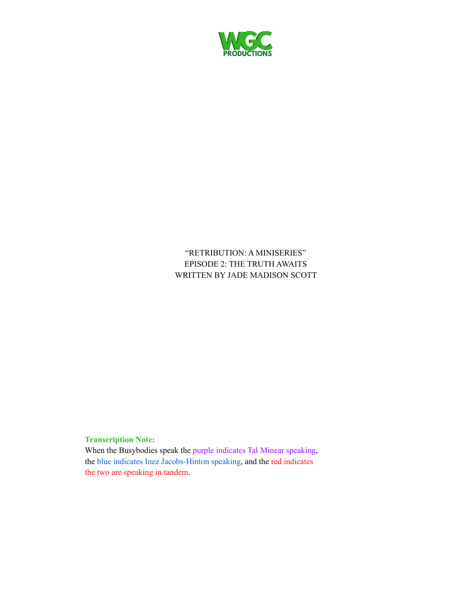

"RETRIBUTION: A MINISERIES" EPISODE 2: THE TRUTH AWAITS WRITTEN BY JADE MADISON SCOTT

## **Transcription Note:**

When the Busybodies speak the purple indicates Tal Minear speaking, the blue indicates Inez Jacobs-Hinton speaking, and the red indicates the two are speaking in tandem.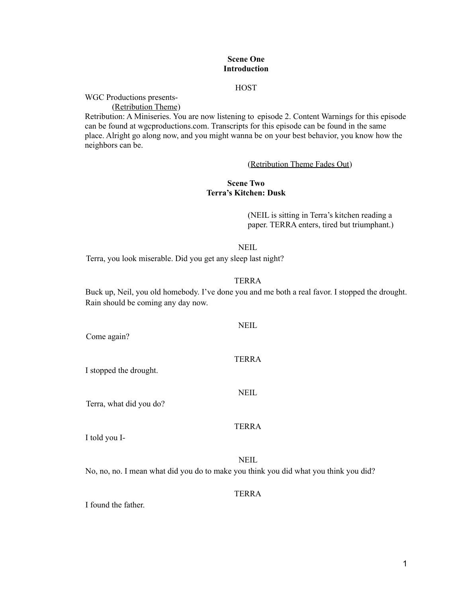## **Scene One Introduction**

## **HOST**

WGC Productions presents-

(Retribution Theme)

Retribution: A Miniseries. You are now listening to episode 2. Content Warnings for this episode can be found at wgcproductions.com. Transcripts for this episode can be found in the same place. Alright go along now, and you might wanna be on your best behavior, you know how the neighbors can be.

#### (Retribution Theme Fades Out)

## **Scene Two Terra's Kitchen: Dusk**

(NEIL is sitting in Terra's kitchen reading a paper. TERRA enters, tired but triumphant.)

#### NEIL

Terra, you look miserable. Did you get any sleep last night?

#### TERRA

Buck up, Neil, you old homebody. I've done you and me both a real favor. I stopped the drought. Rain should be coming any day now.

NEIL Come again? TERRA I stopped the drought. NEIL Terra, what did you do? TERRA I told you I-**NEIL** 

No, no, no. I mean what did you do to make you think you did what you think you did?

## TERRA

I found the father.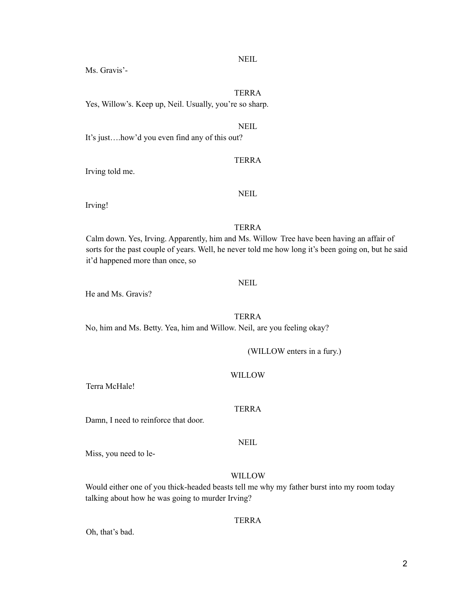NEIL

TERRA

Ms. Gravis'-

Yes, Willow's. Keep up, Neil. Usually, you're so sharp.

NEIL

It's just….how'd you even find any of this out?

TERRA

Irving told me.

NEIL

Irving!

## TERRA

Calm down. Yes, Irving. Apparently, him and Ms. Willow Tree have been having an affair of sorts for the past couple of years. Well, he never told me how long it's been going on, but he said it'd happened more than once, so

## **NEIL**

He and Ms. Gravis?

## TERRA

No, him and Ms. Betty. Yea, him and Willow. Neil, are you feeling okay?

(WILLOW enters in a fury.)

## WILLOW

Terra McHale!

Damn, I need to reinforce that door.

Miss, you need to le-

## WILLOW

Would either one of you thick-headed beasts tell me why my father burst into my room today talking about how he was going to murder Irving?

## TERRA

Oh, that's bad.

# TERRA

NEIL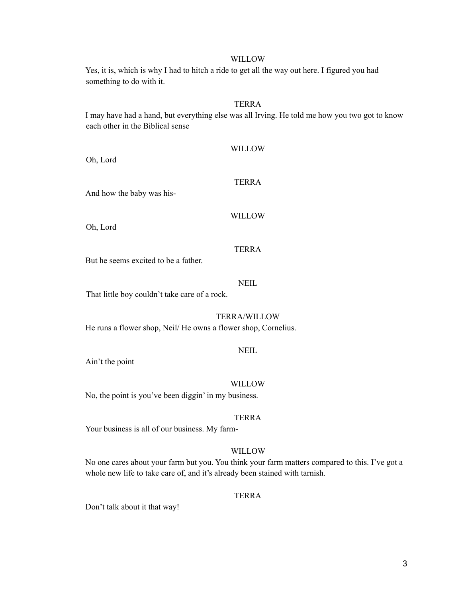Yes, it is, which is why I had to hitch a ride to get all the way out here. I figured you had something to do with it.

## TERRA

I may have had a hand, but everything else was all Irving. He told me how you two got to know each other in the Biblical sense

WILLOW TERRA And how the baby was his-WILLOW TERRA But he seems excited to be a father. NEIL

That little boy couldn't take care of a rock.

TERRA/WILLOW

He runs a flower shop, Neil/ He owns a flower shop, Cornelius.

NEIL

Ain't the point

Oh, Lord

Oh, Lord

WILLOW

No, the point is you've been diggin' in my business.

#### TERRA

Your business is all of our business. My farm-

## WILLOW

No one cares about your farm but you. You think your farm matters compared to this. I've got a whole new life to take care of, and it's already been stained with tarnish.

## **TERRA**

Don't talk about it that way!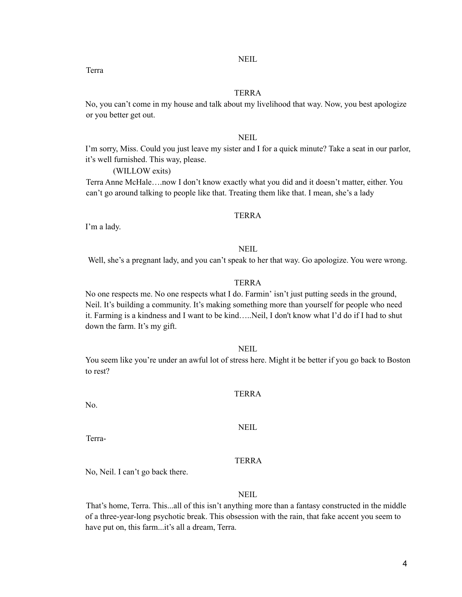NEIL

## TERRA

No, you can't come in my house and talk about my livelihood that way. Now, you best apologize or you better get out.

## **NEIL**

I'm sorry, Miss. Could you just leave my sister and I for a quick minute? Take a seat in our parlor, it's well furnished. This way, please.

(WILLOW exits)

Terra Anne McHale….now I don't know exactly what you did and it doesn't matter, either. You can't go around talking to people like that. Treating them like that. I mean, she's a lady

## TERRA

I'm a lady.

## NEIL

Well, she's a pregnant lady, and you can't speak to her that way. Go apologize. You were wrong.

#### TERRA

No one respects me. No one respects what I do. Farmin' isn't just putting seeds in the ground, Neil. It's building a community. It's making something more than yourself for people who need it. Farming is a kindness and I want to be kind…..Neil, I don't know what I'd do if I had to shut down the farm. It's my gift.

#### NEIL

You seem like you're under an awful lot of stress here. Might it be better if you go back to Boston to rest?

## TERRA

No.

NEIL

Terra-

## TERRA

No, Neil. I can't go back there.

## NEIL

That's home, Terra. This...all of this isn't anything more than a fantasy constructed in the middle of a three-year-long psychotic break. This obsession with the rain, that fake accent you seem to have put on, this farm...it's all a dream, Terra.

Terra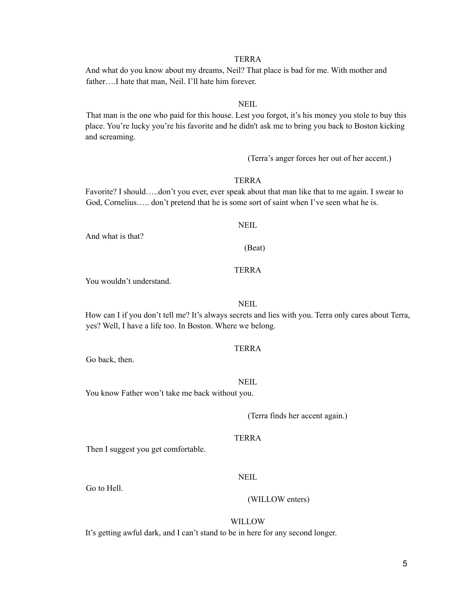5

TERRA

And what do you know about my dreams, Neil? That place is bad for me. With mother and father….I hate that man, Neil. I'll hate him forever.

## NEIL

That man is the one who paid for this house. Lest you forgot, it's his money you stole to buy this place. You're lucky you're his favorite and he didn't ask me to bring you back to Boston kicking and screaming.

(Terra's anger forces her out of her accent.)

## TERRA

Favorite? I should…..don't you ever, ever speak about that man like that to me again. I swear to God, Cornelius..... don't pretend that he is some sort of saint when I've seen what he is.

**NEIL** 

And what is that?

(Beat)

## TERRA

You wouldn't understand.

## **NEIL**

How can I if you don't tell me? It's always secrets and lies with you. Terra only cares about Terra, yes? Well, I have a life too. In Boston. Where we belong.

## TERRA

Go back, then.

**NEIL** 

You know Father won't take me back without you.

(Terra finds her accent again.)

#### **TERRA**

Then I suggest you get comfortable.

**NEIL** 

Go to Hell.

# WILLOW

(WILLOW enters)

It's getting awful dark, and I can't stand to be in here for any second longer.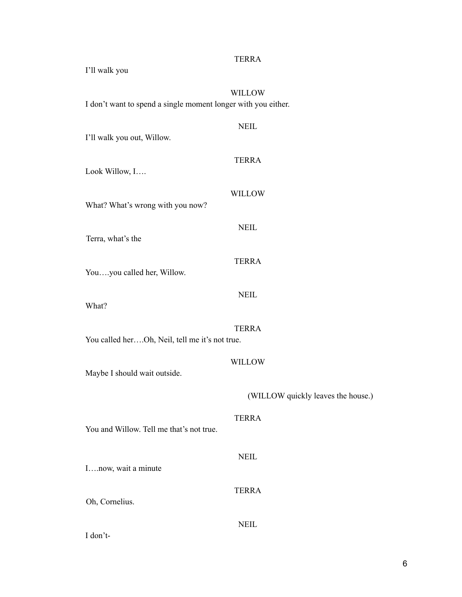| I'll walk you                |                                                               |                                    |
|------------------------------|---------------------------------------------------------------|------------------------------------|
|                              | I don't want to spend a single moment longer with you either. | <b>WILLOW</b>                      |
| I'll walk you out, Willow.   |                                                               | <b>NEIL</b>                        |
| Look Willow, I               |                                                               | <b>TERRA</b>                       |
|                              | What? What's wrong with you now?                              | <b>WILLOW</b>                      |
| Terra, what's the            |                                                               | <b>NEIL</b>                        |
| Youyou called her, Willow.   |                                                               | <b>TERRA</b>                       |
| What?                        |                                                               | <b>NEIL</b>                        |
|                              | You called herOh, Neil, tell me it's not true.                | <b>TERRA</b>                       |
| Maybe I should wait outside. |                                                               | <b>WILLOW</b>                      |
|                              |                                                               | (WILLOW quickly leaves the house.) |
|                              | You and Willow. Tell me that's not true.                      | <b>TERRA</b>                       |
| Inow, wait a minute          |                                                               | <b>NEIL</b>                        |
| Oh, Cornelius.               |                                                               | <b>TERRA</b>                       |
| I don't-                     |                                                               | <b>NEIL</b>                        |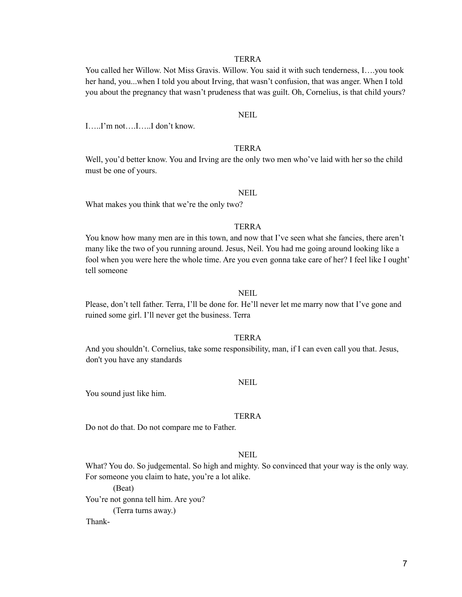You called her Willow. Not Miss Gravis. Willow. You said it with such tenderness, I….you took her hand, you...when I told you about Irving, that wasn't confusion, that was anger. When I told you about the pregnancy that wasn't prudeness that was guilt. Oh, Cornelius, is that child yours?

#### NEIL

I…..I'm not….I…..I don't know.

#### TERRA

Well, you'd better know. You and Irving are the only two men who've laid with her so the child must be one of yours.

#### NEIL

What makes you think that we're the only two?

#### TERRA

You know how many men are in this town, and now that I've seen what she fancies, there aren't many like the two of you running around. Jesus, Neil. You had me going around looking like a fool when you were here the whole time. Are you even gonna take care of her? I feel like I ought' tell someone

#### NEIL

Please, don't tell father. Terra, I'll be done for. He'll never let me marry now that I've gone and ruined some girl. I'll never get the business. Terra

## TERRA

And you shouldn't. Cornelius, take some responsibility, man, if I can even call you that. Jesus, don't you have any standards

#### NEIL

You sound just like him.

#### TERRA

Do not do that. Do not compare me to Father.

## NEIL

What? You do. So judgemental. So high and mighty. So convinced that your way is the only way. For someone you claim to hate, you're a lot alike.

(Beat) You're not gonna tell him. Are you? (Terra turns away.) Thank-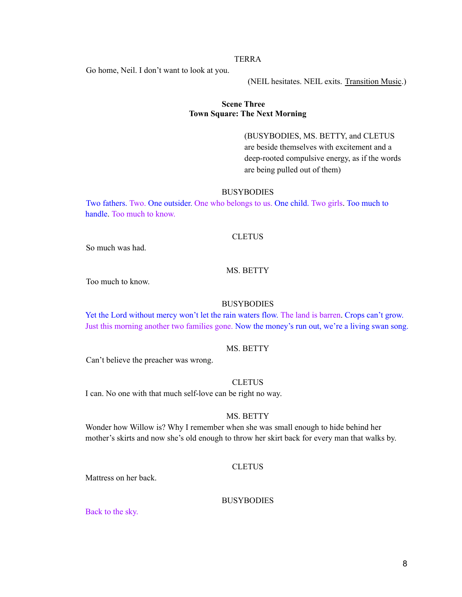Go home, Neil. I don't want to look at you.

(NEIL hesitates. NEIL exits. Transition Music.)

## **Scene Three Town Square: The Next Morning**

(BUSYBODIES, MS. BETTY, and CLETUS are beside themselves with excitement and a deep-rooted compulsive energy, as if the words are being pulled out of them)

#### **BUSYBODIES**

Two fathers. Two. One outsider. One who belongs to us. One child. Two girls. Too much to handle. Too much to know.

#### **CLETUS**

So much was had.

## MS. BETTY

Too much to know.

## **BUSYBODIES**

Yet the Lord without mercy won't let the rain waters flow. The land is barren. Crops can't grow. Just this morning another two families gone. Now the money's run out, we're a living swan song.

## MS. BETTY

Can't believe the preacher was wrong.

## **CLETUS**

I can. No one with that much self-love can be right no way.

#### MS. BETTY

Wonder how Willow is? Why I remember when she was small enough to hide behind her mother's skirts and now she's old enough to throw her skirt back for every man that walks by.

## CLETUS

Mattress on her back.

#### BUSYBODIES

Back to the sky.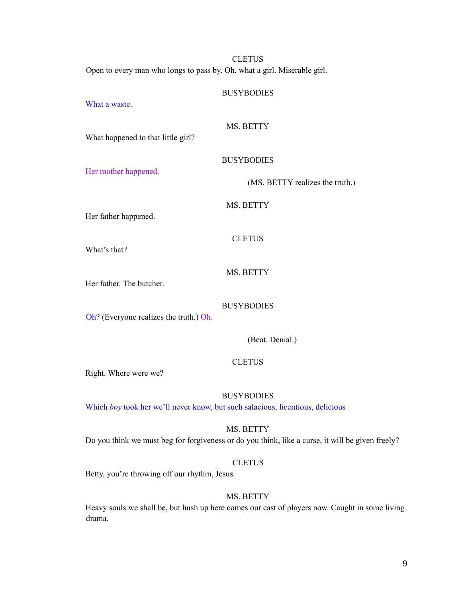**CLETUS** Open to every man who longs to pass by. Oh, what a girl. Miserable girl.

#### **BUSYBODIES**

What a waste.

MS. BETTY

BUSYBODIES

What happened to that little girl?

Her mother happened.

(MS. BETTY realizes the truth.)

MS. BETTY

**CLETUS** 

Her father happened.

What's that?

MS. BETTY

Her father. The butcher.

BUSYBODIES

Oh? (Everyone realizes the truth.) Oh.

(Beat. Denial.)

**CLETUS** 

Right. Where were we?

**BUSYBODIES** 

Which *boy* took her we'll never know, but such salacious, licentious, delicious

MS. BETTY

Do you think we must beg for forgiveness or do you think, like a curse, it will be given freely?

#### **CLETUS**

Betty, you're throwing off our rhythm, Jesus.

## MS. BETTY

Heavy souls we shall be, but hush up here comes our cast of players now. Caught in some living drama.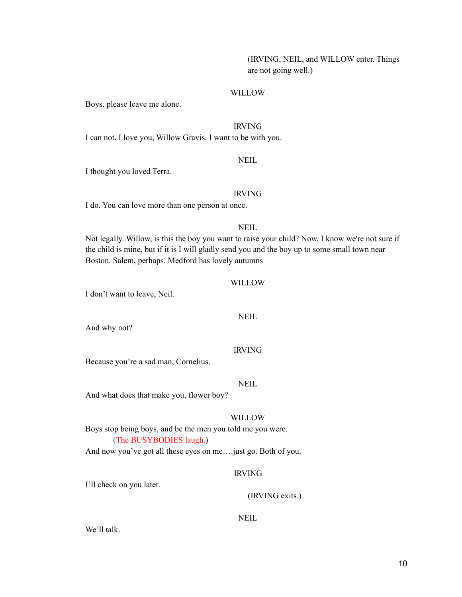## (IRVING, NEIL, and WILLOW enter. Things are not going well.)

## WILLOW

Boys, please leave me alone.

## IRVING

I can not. I love you, Willow Gravis. I want to be with you.

## NEIL

I thought you loved Terra.

#### IRVING

I do. You can love more than one person at once.

#### **NEIL**

Not legally. Willow, is this the boy you want to raise your child? Now, I know we're not sure if the child is mine, but if it is I will gladly send you and the boy up to some small town near Boston. Salem, perhaps. Medford has lovely autumns

## WILLOW

I don't want to leave, Neil.

#### NEIL

And why not?

#### IRVING

Because you're a sad man, Cornelius.

NEIL

And what does that make you, flower boy?

#### **WILLOW**

Boys stop being boys, and be the men you told me you were. (The BUSYBODIES laugh.)

And now you've got all these eyes on me….just go. Both of you.

## IRVING

I'll check on you later.

(IRVING exits.)

## NEIL

We'll talk.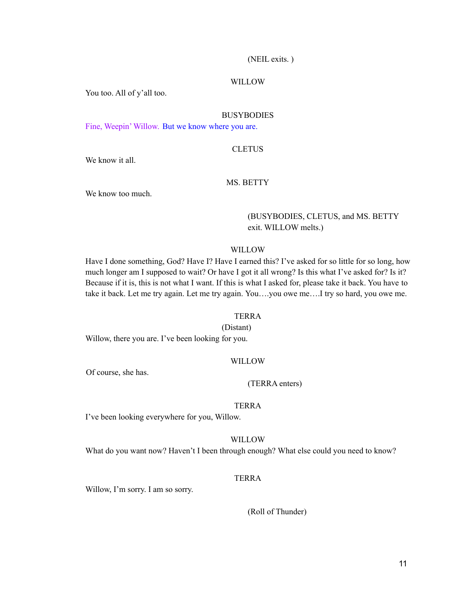#### (NEIL exits. )

#### WILLOW

You too. All of y'all too.

#### BUSYBODIES

Fine, Weepin' Willow. But we know where you are.

#### **CLETUS**

We know it all.

#### MS. BETTY

We know too much.

## (BUSYBODIES, CLETUS, and MS. BETTY exit. WILLOW melts.)

#### WILLOW

Have I done something, God? Have I? Have I earned this? I've asked for so little for so long, how much longer am I supposed to wait? Or have I got it all wrong? Is this what I've asked for? Is it? Because if it is, this is not what I want. If this is what I asked for, please take it back. You have to take it back. Let me try again. Let me try again. You….you owe me….I try so hard, you owe me.

#### TERRA

(Distant)

Willow, there you are. I've been looking for you.

#### WILLOW

Of course, she has.

#### (TERRA enters)

#### TERRA

I've been looking everywhere for you, Willow.

#### WILLOW

What do you want now? Haven't I been through enough? What else could you need to know?

## **TERRA**

Willow, I'm sorry. I am so sorry.

#### (Roll of Thunder)

11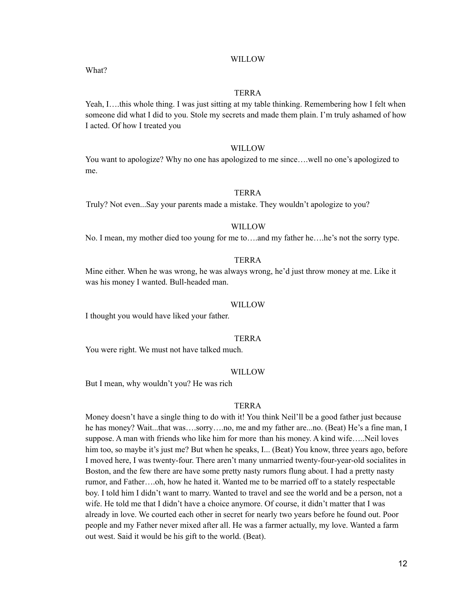What?

#### TERRA

Yeah, I....this whole thing. I was just sitting at my table thinking. Remembering how I felt when someone did what I did to you. Stole my secrets and made them plain. I'm truly ashamed of how I acted. Of how I treated you

#### WILLOW

You want to apologize? Why no one has apologized to me since….well no one's apologized to me.

#### TERRA

Truly? Not even...Say your parents made a mistake. They wouldn't apologize to you?

#### WILLOW

No. I mean, my mother died too young for me to….and my father he….he's not the sorry type.

#### TERRA

Mine either. When he was wrong, he was always wrong, he'd just throw money at me. Like it was his money I wanted. Bull-headed man.

#### WILLOW<sub>1</sub>

I thought you would have liked your father.

## TERRA

You were right. We must not have talked much.

#### WILLOW

But I mean, why wouldn't you? He was rich

## TERRA

Money doesn't have a single thing to do with it! You think Neil'll be a good father just because he has money? Wait...that was....sorry....no, me and my father are...no. (Beat) He's a fine man, I suppose. A man with friends who like him for more than his money. A kind wife…..Neil loves him too, so maybe it's just me? But when he speaks, I... (Beat) You know, three years ago, before I moved here, I was twenty-four. There aren't many unmarried twenty-four-year-old socialites in Boston, and the few there are have some pretty nasty rumors flung about. I had a pretty nasty rumor, and Father….oh, how he hated it. Wanted me to be married off to a stately respectable boy. I told him I didn't want to marry. Wanted to travel and see the world and be a person, not a wife. He told me that I didn't have a choice anymore. Of course, it didn't matter that I was already in love. We courted each other in secret for nearly two years before he found out. Poor people and my Father never mixed after all. He was a farmer actually, my love. Wanted a farm out west. Said it would be his gift to the world. (Beat).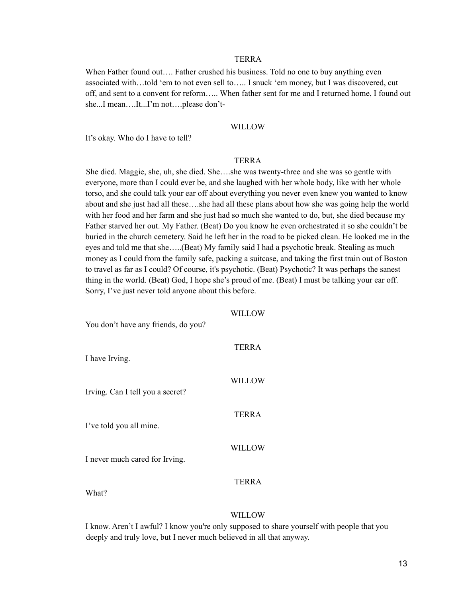When Father found out.... Father crushed his business. Told no one to buy anything even associated with…told 'em to not even sell to….. I snuck 'em money, but I was discovered, cut off, and sent to a convent for reform….. When father sent for me and I returned home, I found out she...I mean….It...I'm not….please don't-

#### WILLOW

It's okay. Who do I have to tell?

#### TERRA

She died. Maggie, she, uh, she died. She….she was twenty-three and she was so gentle with everyone, more than I could ever be, and she laughed with her whole body, like with her whole torso, and she could talk your ear off about everything you never even knew you wanted to know about and she just had all these….she had all these plans about how she was going help the world with her food and her farm and she just had so much she wanted to do, but, she died because my Father starved her out. My Father. (Beat) Do you know he even orchestrated it so she couldn't be buried in the church cemetery. Said he left her in the road to be picked clean. He looked me in the eyes and told me that she…..(Beat) My family said I had a psychotic break. Stealing as much money as I could from the family safe, packing a suitcase, and taking the first train out of Boston to travel as far as I could? Of course, it's psychotic. (Beat) Psychotic? It was perhaps the sanest thing in the world. (Beat) God, I hope she's proud of me. (Beat) I must be talking your ear off. Sorry, I've just never told anyone about this before.

WILL OW

| You don't have any friends, do you? | WILLOW        |
|-------------------------------------|---------------|
| I have Irving.                      | <b>TERRA</b>  |
| Irving. Can I tell you a secret?    | <b>WILLOW</b> |
| I've told you all mine.             | <b>TERRA</b>  |
| I never much cared for Irving.      | <b>WILLOW</b> |
| What?                               | <b>TERRA</b>  |

#### WILLOW

I know. Aren't I awful? I know you're only supposed to share yourself with people that you deeply and truly love, but I never much believed in all that anyway.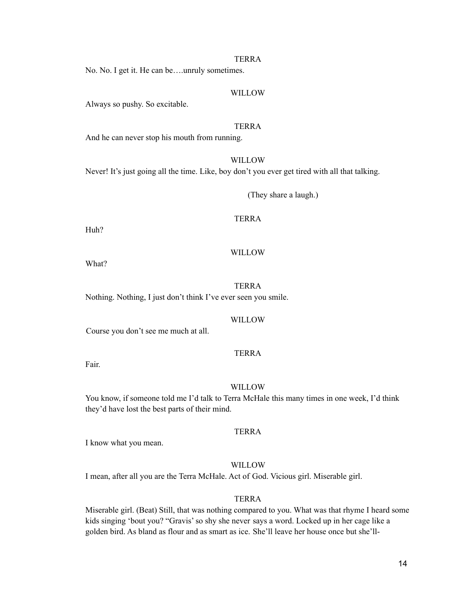No. No. I get it. He can be….unruly sometimes.

## WILLOW

Always so pushy. So excitable.

#### TERRA

And he can never stop his mouth from running.

#### WILLOW

Never! It's just going all the time. Like, boy don't you ever get tired with all that talking.

(They share a laugh.)

## TERRA

Huh?

## WILLOW

What?

## TERRA

Nothing. Nothing, I just don't think I've ever seen you smile.

#### **WILLOW**

Course you don't see me much at all.

## TERRA

Fair.

#### WILLOW

You know, if someone told me I'd talk to Terra McHale this many times in one week, I'd think they'd have lost the best parts of their mind.

## TERRA

I know what you mean.

## WILLOW

I mean, after all you are the Terra McHale. Act of God. Vicious girl. Miserable girl.

## TERRA

Miserable girl. (Beat) Still, that was nothing compared to you. What was that rhyme I heard some kids singing 'bout you? "Gravis'so shy she never says a word. Locked up in her cage like a golden bird. As bland as flour and as smart as ice. She'll leave her house once but she'll-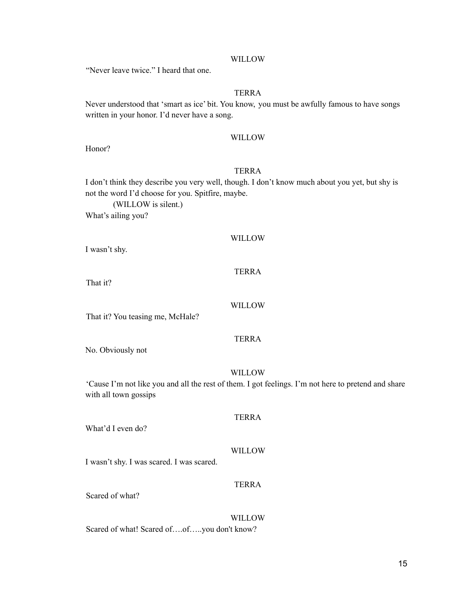"Never leave twice." I heard that one.

## TERRA

Never understood that 'smart as ice' bit. You know, you must be awfully famous to have songs written in your honor. I'd never have a song.

#### WILLOW

Honor?

## TERRA

I don't think they describe you very well, though. I don't know much about you yet, but shy is not the word I'd choose for you. Spitfire, maybe.

(WILLOW is silent.) What's ailing you?

#### WILLOW

I wasn't shy.

## TERRA

That it?

## WILLOW

That it? You teasing me, McHale?

#### TERRA

No. Obviously not

#### WILLOW

'Cause I'm not like you and all the rest of them. I got feelings. I'm not here to pretend and share with all town gossips

## TERRA

What'd I even do?

#### WILLOW

I wasn't shy. I was scared. I was scared.

## TERRA

Scared of what?

WILLOW

Scared of what! Scared of….of…..you don't know?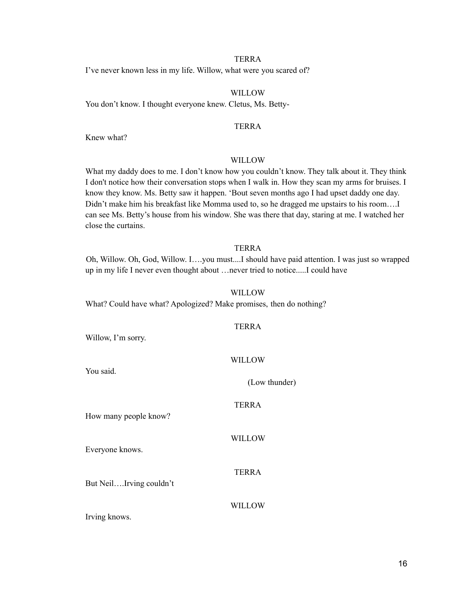I've never known less in my life. Willow, what were you scared of?

## WILLOW

You don't know. I thought everyone knew. Cletus, Ms. Betty-

#### TERRA

Knew what?

#### WILLOW

What my daddy does to me. I don't know how you couldn't know. They talk about it. They think I don't notice how their conversation stops when I walk in. How they scan my arms for bruises. I know they know. Ms. Betty saw it happen. 'Bout seven months ago I had upset daddy one day. Didn't make him his breakfast like Momma used to, so he dragged me upstairs to his room….I can see Ms. Betty's house from his window. She was there that day, staring at me. I watched her close the curtains.

## TERRA

Oh, Willow. Oh, God, Willow. I….you must....I should have paid attention. I was just so wrapped up in my life I never even thought about …never tried to notice.....I could have

#### WILLOW

TERRA

What? Could have what? Apologized? Make promises, then do nothing?

| Willow, I'm sorry.      |               |
|-------------------------|---------------|
| You said.               | <b>WILLOW</b> |
|                         | (Low thunder) |
| How many people know?   | <b>TERRA</b>  |
| Everyone knows.         | WILLOW        |
| But NeilIrving couldn't | <b>TERRA</b>  |
| Irving knows.           | <b>WILLOW</b> |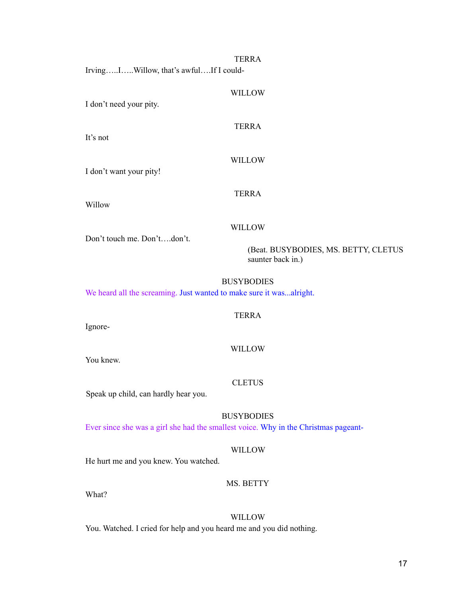WILLOW

TERRA

WILLOW

TERRA

Irving…..I…..Willow, that's awful….If I could-

I don't need your pity.

It's not

I don't want your pity!

Willow

#### WILLOW

Don't touch me. Don't….don't.

(Beat. BUSYBODIES, MS. BETTY, CLETUS saunter back in.)

#### BUSYBODIES

We heard all the screaming. Just wanted to make sure it was...alright.

## TERRA

Ignore-

#### WILLOW

You knew.

#### **CLETUS**

Speak up child, can hardly hear you.

BUSYBODIES Ever since she was a girl she had the smallest voice. Why in the Christmas pageant-

## WILLOW

He hurt me and you knew. You watched.

## MS. BETTY

What?

## WILLOW

You. Watched. I cried for help and you heard me and you did nothing.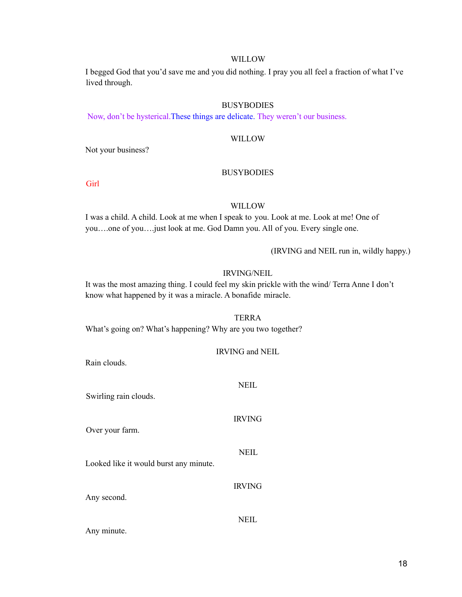I begged God that you'd save me and you did nothing. I pray you all feel a fraction of what I've lived through.

## **BUSYBODIES**

Now, don't be hysterical.These things are delicate. They weren't our business.

## WILLOW

Not your business?

#### BUSYBODIES

Girl

#### WILLOW

I was a child. A child. Look at me when I speak to you. Look at me. Look at me! One of you….one of you….just look at me. God Damn you. All of you. Every single one.

(IRVING and NEIL run in, wildly happy.)

## IRVING/NEIL

It was the most amazing thing. I could feel my skin prickle with the wind/ Terra Anne I don't know what happened by it was a miracle. A bonafide miracle.

#### TERRA

What's going on? What's happening? Why are you two together?

| Rain clouds.                           | <b>IRVING and NEIL</b> |
|----------------------------------------|------------------------|
| Swirling rain clouds.                  | <b>NEIL</b>            |
| Over your farm.                        | <b>IRVING</b>          |
| Looked like it would burst any minute. | <b>NEIL</b>            |
| Any second.                            | <b>IRVING</b>          |
| Any minute.                            | NEIL.                  |